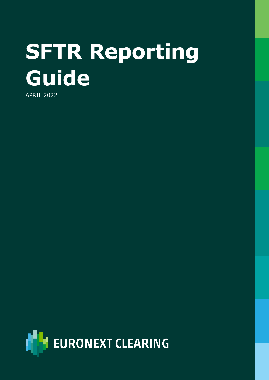# **SFTR Reporting Guide**

APRIL 2022

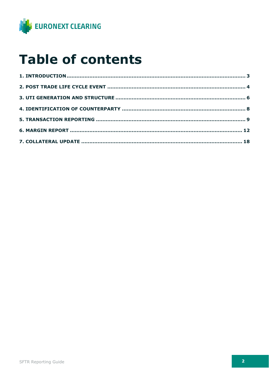

#### **Table of contents**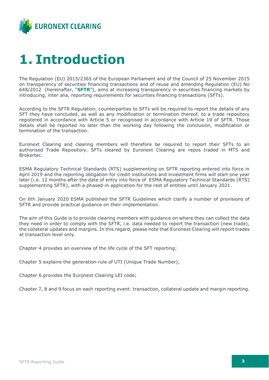

#### <span id="page-2-0"></span>**1. Introduction**

The Regulation (EU) 2015/2365 of the European Parliament and of the Council of 25 November 2015 on transparency of securities financing transactions and of reuse and amending Regulation (EU) No 648/2012 (hereinafter, "**SFTR**"), aims at increasing transparency in securities financing markets by introducing, inter alia, reporting requirements for securities financing transactions (SFTs).

According to the SFTR Regulation, counterparties to SFTs will be required to report the details of any SFT they have concluded, as well as any modification or termination thereof, to a trade repository registered in accordance with Article 5 or recognised in accordance with Article 19 of SFTR. Those details shall be reported no later than the working day following the conclusion, modification or termination of the transaction.

Euronext Clearing and clearing members will therefore be required to report their SFTs to an authorised Trade Repository. SFTs cleared by Euronext Clearing are repos traded in MTS and Brokertec.

ESMA Regulatory Technical Standards (RTS) supplementing on SFTR reporting entered into force in April 2019 and the reporting obligation for credit institutions and investment firms will start one year later (i.e. 12 months after the date of entry into force of ESMA Regulatory Technical Standards (RTS) supplementing SFTR), with a phased-in application for the rest of entities until January 2021.

On 6th January 2020 ESMA published the SFTR Guidelines which clarify a number of provisions of SFTR and provide practical guidance on their implementation.

The aim of this Guide is to provide clearing members with guidance on where they can collect the data they need in order to comply with the SFTR, i.e. data needed to report the transaction (new trade), the collateral updates and margins. In this regard, please note that Euronext Clearing will report trades at transaction level only.

Chapter 4 provides an overview of the life cycle of the SFT reporting;

Chapter 5 explains the generation rule of UTI (Unique Trade Number);

Chapter 6 provides the Euronext Clearing LEI code;

Chapter 7, 8 and 9 focus on each reporting event: transaction, collateral update and margin reporting.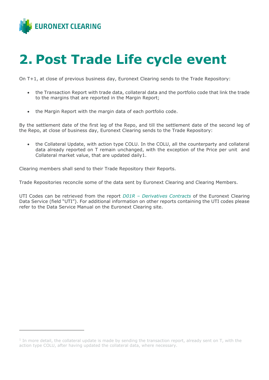

#### <span id="page-3-0"></span>**2. Post Trade Life cycle event**

On T+1, at close of previous business day, Euronext Clearing sends to the Trade Repository:

- the Transaction Report with trade data, collateral data and the portfolio code that link the trade to the margins that are reported in the Margin Report;
- the Margin Report with the margin data of each portfolio code.

By the settlement date of the first leg of the Repo, and till the settlement date of the second leg of the Repo, at close of business day, Euronext Clearing sends to the Trade Repository:

• the Collateral Update, with action type COLU. In the COLU, all the counterparty and collateral data already reported on T remain unchanged, with the exception of the Price per unit and Collateral market value, that are updated daily1.

Clearing members shall send to their Trade Repository their Reports.

Trade Repositories reconcile some of the data sent by Euronext Clearing and Clearing Members.

UTI Codes can be retrieved from the report *D01R – Derivatives Contracts* of the Euronext Clearing Data Service (field "UTI"). For additional information on other reports containing the UTI codes please refer to the Data Service Manual on the Euronext Clearing site.

<sup>&</sup>lt;sup>1</sup> In more detail, the collateral update is made by sending the transaction report, already sent on T, with the action type COLU, after having updated the collateral data, where necessary.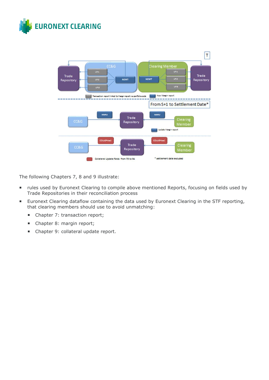



The following Chapters 7, 8 and 9 illustrate:

- **F** rules used by Euronext Clearing to compile above mentioned Reports, focusing on fields used by Trade Repositories in their reconciliation process
- **Euronext Clearing dataflow containing the data used by Euronext Clearing in the STF reporting,** that clearing members should use to avoid unmatching:
	- Chapter 7: transaction report;
	- Chapter 8: margin report;
	- Chapter 9: collateral update report.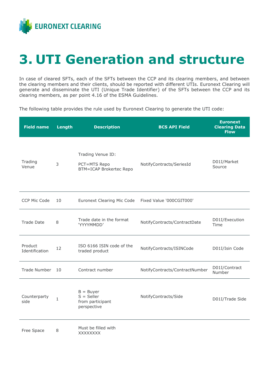

#### <span id="page-5-0"></span>**3. UTI Generation and structure**

In case of cleared SFTs, each of the SFTs between the CCP and its clearing members, and between the clearing members and their clients, should be reported with different UTIs. Euronext Clearing will generate and disseminate the UTI (Unique Trade Identifier) of the SFTs between the CCP and its clearing members, as per point 4.16 of the ESMA Guidelines.

The following table provides the rule used by Euronext Clearing to generate the UTI code:

| <b>Field name</b>         | Length       | <b>Description</b>                                                  | <b>BCS API Field</b>           | <b>Euronext</b><br><b>Clearing Data</b><br><b>Flow</b> |
|---------------------------|--------------|---------------------------------------------------------------------|--------------------------------|--------------------------------------------------------|
| Trading<br>Venue          | 3            | Trading Venue ID:<br>PCT=MTS Repo<br><b>BTM=ICAP Brokertec Repo</b> | NotifyContracts/SeriesId       | D01I/Market<br>Source                                  |
| CCP Mic Code              | 10           | <b>Euronext Clearing Mic Code</b>                                   | Fixed Value '000CGIT000'       |                                                        |
| <b>Trade Date</b>         | 8            | Trade date in the format<br>'YYYYMMDD'                              | NotifyContracts/ContractDate   | D01I/Execution<br>Time                                 |
| Product<br>Identification | 12           | ISO 6166 ISIN code of the<br>traded product                         | NotifyContracts/ISINCode       | D01I/Isin Code                                         |
| Trade Number              | 10           | Contract number                                                     | NotifyContracts/ContractNumber | D01I/Contract<br>Number                                |
| Counterparty<br>side      | $\mathbf{1}$ | $B = Buyer$<br>$S =$ Seller<br>from participant<br>perspective      | NotifyContracts/Side           | D01I/Trade Side                                        |
| Free Space                | 8            | Must be filled with<br>XXXXXXXX                                     |                                |                                                        |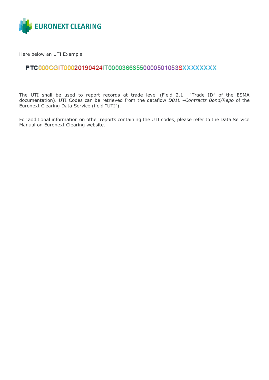

Here below an UTI Example

#### PTC000CGIT00020190424IT00003666550000501053SXXXXXXXX

**PTC**000CGIT00020190424IT00003666550000501053SXXXXXX

The UTI shall be used to report records at trade level (Field 2.1 "Trade ID" of the ESMA documentation). UTI Codes can be retrieved from the dataflow *D01L –Contracts Bond/Repo* of the Euronext Clearing Data Service (field "UTI").

For additional information on other reports containing the UTI codes, please refer to the Data Service Manual on Euronext Clearing website.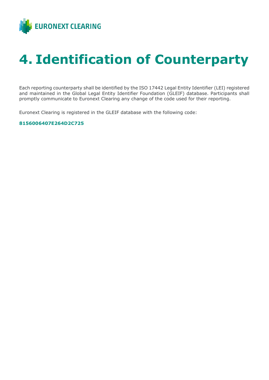

## <span id="page-7-0"></span>**4. Identification of Counterparty**

Each reporting counterparty shall be identified by the ISO 17442 Legal Entity Identifier (LEI) registered and maintained in the Global Legal Entity Identifier Foundation (GLEIF) database. Participants shall promptly communicate to Euronext Clearing any change of the code used for their reporting.

Euronext Clearing is registered in the GLEIF database with the following code:

#### **8156006407E264D2C725**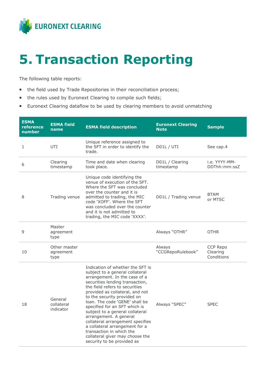

#### <span id="page-8-0"></span>**5. Transaction Reporting**

The following table reports:

- the field used by Trade Repositories in their reconciliation process;
- the rules used by Euronext Clearing to compile such fields;
- **Euronext Clearing dataflow to be used by clearing members to avoid unmatching**

| <b>ESMA</b><br>reference<br>number | <b>ESMA field</b><br>name          | <b>ESMA field description</b>                                                                                                                                                                                                                                                                                                                                                                                                                                                                                                                  | <b>Euronext Clearing</b><br><b>Note</b> | <b>Sample</b>                      |
|------------------------------------|------------------------------------|------------------------------------------------------------------------------------------------------------------------------------------------------------------------------------------------------------------------------------------------------------------------------------------------------------------------------------------------------------------------------------------------------------------------------------------------------------------------------------------------------------------------------------------------|-----------------------------------------|------------------------------------|
| 1                                  | UTI                                | Unique reference assigned to<br>the SFT in order to identify the<br>trade.                                                                                                                                                                                                                                                                                                                                                                                                                                                                     | D01L / UTI                              | See cap.4                          |
| 6                                  | Clearing<br>timestamp              | Time and date when clearing<br>took place.                                                                                                                                                                                                                                                                                                                                                                                                                                                                                                     | D01L / Clearing<br>timestamp            | i.e. YYYY-MM-<br>DDThh:mm:ssZ      |
| 8                                  | Trading venue                      | Unique code identifying the<br>venue of execution of the SFT.<br>Where the SFT was concluded<br>over the counter and it is<br>admitted to trading, the MIC<br>code 'XOFF'. Where the SFT<br>was concluded over the counter<br>and it is not admitted to<br>trading, the MIC code 'XXXX'.                                                                                                                                                                                                                                                       | D01L / Trading venue                    | <b>BTAM</b><br>or MTSC             |
| 9                                  | Master<br>agreement<br>type        |                                                                                                                                                                                                                                                                                                                                                                                                                                                                                                                                                | Always "OTHR"                           | <b>OTHR</b>                        |
| 10                                 | Other master<br>agreement<br>type  |                                                                                                                                                                                                                                                                                                                                                                                                                                                                                                                                                | Always<br>"CCGRepoRulebook"             | CCP Repo<br>Clearing<br>Conditions |
| 18                                 | General<br>collateral<br>indicator | Indication of whether the SFT is<br>subject to a general collateral<br>arrangement. In the case of a<br>securities lending transaction,<br>the field refers to securities<br>provided as collateral, and not<br>to the security provided on<br>loan. The code 'GENE' shall be<br>specified for an SFT which is<br>subject to a general collateral<br>arrangement. A general<br>collateral arrangement specifies<br>a collateral arrangement for a<br>transaction in which the<br>collateral giver may choose the<br>security to be provided as | Always "SPEC"                           | <b>SPEC</b>                        |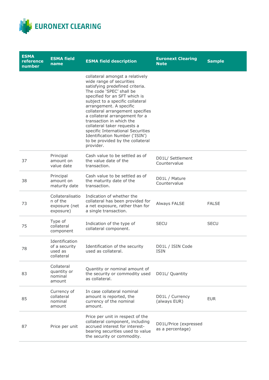

| <b>ESMA</b><br>reference<br>number | <b>ESMA field</b><br>name                                  | <b>ESMA field description</b>                                                                                                                                                                                                                                                                                                                                                                                                                                                       | <b>Euronext Clearing</b><br><b>Note</b>   | <b>Sample</b> |
|------------------------------------|------------------------------------------------------------|-------------------------------------------------------------------------------------------------------------------------------------------------------------------------------------------------------------------------------------------------------------------------------------------------------------------------------------------------------------------------------------------------------------------------------------------------------------------------------------|-------------------------------------------|---------------|
|                                    |                                                            | collateral amongst a relatively<br>wide range of securities<br>satisfying predefined criteria.<br>The code 'SPEC' shall be<br>specified for an SFT which is<br>subject to a specific collateral<br>arrangement. A specific<br>collateral arrangement specifies<br>a collateral arrangement for a<br>transaction in which the<br>collateral taker requests a<br>specific International Securities<br>Identification Number ('ISIN')<br>to be provided by the collateral<br>provider. |                                           |               |
| 37                                 | Principal<br>amount on<br>value date                       | Cash value to be settled as of<br>the value date of the<br>transaction.                                                                                                                                                                                                                                                                                                                                                                                                             | D01L/ Settlement<br>Countervalue          |               |
| 38                                 | Principal<br>amount on<br>maturity date                    | Cash value to be settled as of<br>the maturity date of the<br>transaction.                                                                                                                                                                                                                                                                                                                                                                                                          | D01L / Mature<br>Countervalue             |               |
| 73                                 | Collateralisatio<br>n of the<br>exposure (net<br>exposure) | Indication of whether the<br>collateral has been provided for<br>a net exposure, rather than for<br>a single transaction.                                                                                                                                                                                                                                                                                                                                                           | Always FALSE                              | <b>FALSE</b>  |
| 75                                 | Type of<br>collateral<br>component                         | Indication of the type of<br>collateral component.                                                                                                                                                                                                                                                                                                                                                                                                                                  | <b>SECU</b>                               | <b>SECU</b>   |
| 78                                 | Identification<br>of a security<br>used as<br>collateral   | Identification of the security<br>used as collateral.                                                                                                                                                                                                                                                                                                                                                                                                                               | D01L / ISIN Code<br><b>ISIN</b>           |               |
| 83                                 | Collateral<br>quantity or<br>nominal<br>amount             | Quantity or nominal amount of<br>the security or commodity used<br>as collateral.                                                                                                                                                                                                                                                                                                                                                                                                   | D01L/ Quantity                            |               |
| 85                                 | Currency of<br>collateral<br>nominal<br>amount             | In case collateral nominal<br>amount is reported, the<br>currency of the nominal<br>amount.                                                                                                                                                                                                                                                                                                                                                                                         | D01L / Currency<br>(always EUR)           | <b>EUR</b>    |
| 87                                 | Price per unit                                             | Price per unit in respect of the<br>collateral component, including<br>accrued interest for interest-<br>bearing securities used to value<br>the security or commodity.                                                                                                                                                                                                                                                                                                             | D01L/Price (expressed<br>as a percentage) |               |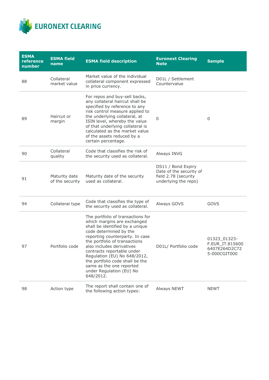

| <b>ESMA</b><br>reference<br>number | <b>ESMA field</b><br>name        | <b>ESMA field description</b>                                                                                                                                                                                                                                                                                                                                                                        | <b>Euronext Clearing</b><br><b>Note</b>                                                       | <b>Sample</b>                                                    |
|------------------------------------|----------------------------------|------------------------------------------------------------------------------------------------------------------------------------------------------------------------------------------------------------------------------------------------------------------------------------------------------------------------------------------------------------------------------------------------------|-----------------------------------------------------------------------------------------------|------------------------------------------------------------------|
| 88                                 | Collateral<br>market value       | Market value of the individual<br>collateral component expressed<br>in price currency.                                                                                                                                                                                                                                                                                                               | D01L / Settlement<br>Countervalue                                                             |                                                                  |
| 89                                 | Haircut or<br>margin             | For repos and buy-sell backs,<br>any collateral haircut shall be<br>specified by reference to any<br>risk control measure applied to<br>the underlying collateral, at<br>ISIN level, whereby the value<br>of that underlying collateral is<br>calculated as the market value<br>of the assets reduced by a<br>certain percentage.                                                                    | $\overline{0}$                                                                                | 0                                                                |
| 90                                 | Collateral<br>quality            | Code that classifies the risk of<br>the security used as collateral.                                                                                                                                                                                                                                                                                                                                 | Always INVG                                                                                   |                                                                  |
| 91                                 | Maturity date<br>of the security | Maturity date of the security<br>used as collateral.                                                                                                                                                                                                                                                                                                                                                 | DS11 / Bond Expiry<br>Date of the security of<br>field 2.78 (security<br>underlying the repo) |                                                                  |
| 94                                 | Collateral type                  | Code that classifies the type of<br>the security used as collateral.                                                                                                                                                                                                                                                                                                                                 | Always GOVS                                                                                   | <b>GOVS</b>                                                      |
| 97                                 | Portfolio code                   | The portfolio of transactions for<br>which margins are exchanged<br>shall be identified by a unique<br>code determined by the<br>reporting counterparty. In case<br>the portfolio of transactions<br>also includes derivatives<br>contracts reportable under<br>Regulation (EU) No 648/2012,<br>the portfolio code shall be the<br>same as the one reported<br>under Regulation (EU) No<br>648/2012. | D01L/ Portfolio code                                                                          | 01323 01323-<br>F.EUR_IT.815600<br>6407E264D2C72<br>5-000CGIT000 |
| 98                                 | Action type                      | The report shall contain one of<br>the following action types:                                                                                                                                                                                                                                                                                                                                       | Always NEWT                                                                                   | <b>NEWT</b>                                                      |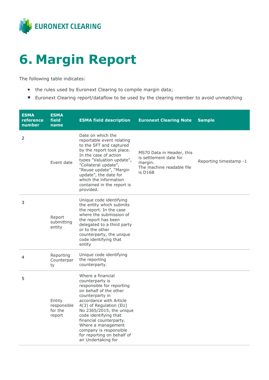

### <span id="page-11-0"></span>**6. Margin Report**

The following table indicates:

- the rules used by Euronext Clearing to compile margin data;
- Euronext Clearing report/dataflow to be used by the clearing member to avoid unmatching

| <b>ESMA</b><br>reference<br>number | <b>ESMA</b><br>field<br>name               | <b>ESMA field description</b>                                                                                                                                                                                                                                                                                                                            | <b>Euronext Clearing Note</b>                                                                          | <b>Sample</b>          |
|------------------------------------|--------------------------------------------|----------------------------------------------------------------------------------------------------------------------------------------------------------------------------------------------------------------------------------------------------------------------------------------------------------------------------------------------------------|--------------------------------------------------------------------------------------------------------|------------------------|
| 2                                  | Event date                                 | Date on which the<br>reportable event relating<br>to the SFT and captured<br>by the report took place.<br>In the case of action<br>types "Valuation update",<br>"Collateral update",<br>"Reuse update", "Margin<br>update", the date for<br>which the information<br>contained in the report is<br>provided.                                             | MS70 Data in Header, this<br>is settlement date for<br>margin.<br>The machine readable file<br>is D16B | Reporting timestamp -1 |
| 3                                  | Report<br>submitting<br>entity             | Unique code identifying<br>the entity which submits<br>the report. In the case<br>where the submission of<br>the report has been<br>delegated to a third party<br>or to the other<br>counterparty, the unique<br>code identifying that<br>entity                                                                                                         |                                                                                                        |                        |
| 4                                  | Reporting<br>Counterpar<br>ty              | Unique code identifying<br>the reporting<br>counterparty.                                                                                                                                                                                                                                                                                                |                                                                                                        |                        |
| 5                                  | Entity<br>responsible<br>for the<br>report | Where a financial<br>counterparty is<br>responsible for reporting<br>on behalf of the other<br>counterparty in<br>accordance with Article<br>4(3) of Regulation (EU)<br>No 2365/2015, the unique<br>code identifying that<br>financial counterparty.<br>Where a management<br>company is responsible<br>for reporting on behalf of<br>an Undertaking for |                                                                                                        |                        |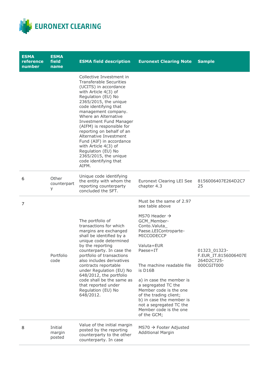

| <b>ESMA</b><br>reference<br>number | <b>ESMA</b><br>field<br>name | <b>ESMA field description</b>                                                                                                                                                                                                                                                                                                                                                                                                                                                                 | <b>Euronext Clearing Note</b>                                                                                                                                                                                                                                                                                                                                                                                            | <b>Sample</b>                                                    |
|------------------------------------|------------------------------|-----------------------------------------------------------------------------------------------------------------------------------------------------------------------------------------------------------------------------------------------------------------------------------------------------------------------------------------------------------------------------------------------------------------------------------------------------------------------------------------------|--------------------------------------------------------------------------------------------------------------------------------------------------------------------------------------------------------------------------------------------------------------------------------------------------------------------------------------------------------------------------------------------------------------------------|------------------------------------------------------------------|
|                                    |                              | Collective Investment in<br><b>Transferable Securities</b><br>(UCITS) in accordance<br>with Article 4(3) of<br>Regulation (EU) No<br>2365/2015, the unique<br>code identifying that<br>management company.<br>Where an Alternative<br><b>Investment Fund Manager</b><br>(AIFM) is responsible for<br>reporting on behalf of an<br>Alternative Investment<br>Fund (AIF) in accordance<br>with Article 4(3) of<br>Regulation (EU) No<br>2365/2015, the unique<br>code identifying that<br>AIFM. |                                                                                                                                                                                                                                                                                                                                                                                                                          |                                                                  |
| 6                                  | Other<br>counterpart<br>у    | Unique code identifying<br>the entity with whom the<br>reporting counterparty<br>concluded the SFT.                                                                                                                                                                                                                                                                                                                                                                                           | Euronext Clearing LEI See<br>chapter 4.3                                                                                                                                                                                                                                                                                                                                                                                 | 8156006407E264D2C7<br>25                                         |
| 7                                  | Portfolio<br>code            | The portfolio of<br>transactions for which<br>margins are exchanged<br>shall be identified by a<br>unique code determined<br>by the reporting<br>counterparty. In case the<br>portfolio of transactions<br>also includes derivatives<br>contracts reportable<br>under Regulation (EU) No<br>648/2012, the portfolio<br>code shall be the same as<br>that reported under<br>Regulation (EU) No<br>648/2012.                                                                                    | Must be the same of 2.97<br>see table above<br>MS70 Header $\rightarrow$<br>GCM_Member-<br>Conto.Valuta_<br>Paese.LEIControparte-<br>MICCODECCP<br>Valuta=EUR<br>Paese=IT<br>The machine readable file<br>is D16B<br>a) in case the member is<br>a segregated TC the<br>Member code is the one<br>of the trading client;<br>b) in case the member is<br>not a segregated TC the<br>Member code is the one<br>of the GCM; | 01323_01323-<br>F.EUR_IT.8156006407E<br>264D2C725-<br>000CGIT000 |
| 8                                  | Initial<br>margin<br>posted  | Value of the initial margin<br>posted by the reporting<br>counterparty to the other<br>counterparty. In case                                                                                                                                                                                                                                                                                                                                                                                  | $MS70 \rightarrow$ Footer Adjusted<br><b>Additional Margin</b>                                                                                                                                                                                                                                                                                                                                                           |                                                                  |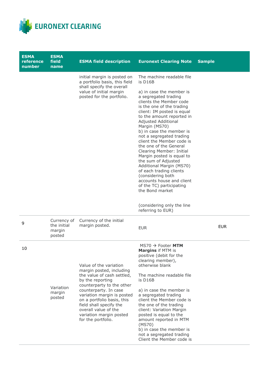

| <b>ESMA</b><br>reference<br>number | <b>ESMA</b><br>field<br>name                   | <b>ESMA</b> field description                                                                                                                                                                                                                                                                                              | <b>Euronext Clearing Note</b>                                                                                                                                                                                                                                                                                                                                                                                                                                                                                                                                                                              | <b>Sample</b> |
|------------------------------------|------------------------------------------------|----------------------------------------------------------------------------------------------------------------------------------------------------------------------------------------------------------------------------------------------------------------------------------------------------------------------------|------------------------------------------------------------------------------------------------------------------------------------------------------------------------------------------------------------------------------------------------------------------------------------------------------------------------------------------------------------------------------------------------------------------------------------------------------------------------------------------------------------------------------------------------------------------------------------------------------------|---------------|
|                                    |                                                | initial margin is posted on<br>a portfolio basis, this field<br>shall specify the overall<br>value of initial margin<br>posted for the portfolio.                                                                                                                                                                          | The machine readable file<br>is D16B<br>a) in case the member is<br>a segregated trading<br>clients the Member code<br>is the one of the trading<br>client: IM posted is equal<br>to the amount reported in<br>Adjusted Additional<br>Margin (MS70)<br>b) in case the member is<br>not a segregated trading<br>client the Member code is<br>the one of the General<br>Clearing Member: Initial<br>Margin posted is equal to<br>the sum of Adjusted<br>Additional Margin (MS70)<br>of each trading clients<br>(considering both<br>accounts house and client<br>of the TC) participating<br>the Bond market |               |
|                                    |                                                |                                                                                                                                                                                                                                                                                                                            | (considering only the line<br>referring to EUR)                                                                                                                                                                                                                                                                                                                                                                                                                                                                                                                                                            |               |
| 9                                  | Currency of<br>the initial<br>margin<br>posted | Currency of the initial<br>margin posted.                                                                                                                                                                                                                                                                                  | <b>EUR</b>                                                                                                                                                                                                                                                                                                                                                                                                                                                                                                                                                                                                 | <b>EUR</b>    |
| 10                                 | Variation<br>margin<br>posted                  | Value of the variation<br>margin posted, including<br>the value of cash settled,<br>by the reporting<br>counterparty to the other<br>counterparty. In case<br>variation margin is posted<br>on a portfolio basis, this<br>field shall specify the<br>overall value of the<br>variation margin posted<br>for the portfolio. | $MS70 \rightarrow$ Footer MTM<br>Margins if MTM is<br>positive (debit for the<br>clearing member),<br>otherwise blank<br>The machine readable file<br>is D16B<br>a) in case the member is<br>a segregated trading<br>client the Member code is<br>the one of the trading<br>client: Variation Margin<br>posted is equal to the<br>amount reported in MTM<br>(MS70)<br>b) in case the member is<br>not a segregated trading<br>Client the Member code is                                                                                                                                                    |               |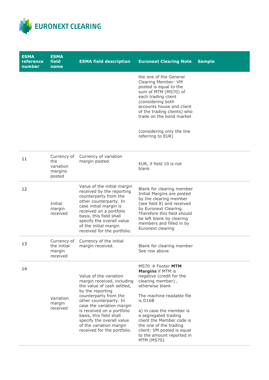

| <b>ESMA</b><br>reference<br>number | <b>ESMA</b><br>field<br>name                         | <b>ESMA field description</b>                                                                                                                                                                                                                                                                                                          | <b>Euronext Clearing Note</b>                                                                                                                                                                                                                                                                                                                             | <b>Sample</b> |
|------------------------------------|------------------------------------------------------|----------------------------------------------------------------------------------------------------------------------------------------------------------------------------------------------------------------------------------------------------------------------------------------------------------------------------------------|-----------------------------------------------------------------------------------------------------------------------------------------------------------------------------------------------------------------------------------------------------------------------------------------------------------------------------------------------------------|---------------|
|                                    |                                                      |                                                                                                                                                                                                                                                                                                                                        | the one of the General<br>Clearing Member: VM<br>posted is equal to the<br>sum of MTM (MS70) of<br>each trading client<br>(considering both<br>accounts house and client<br>of the trading clients) who<br>trade on the bond market<br>(considering only the line<br>referring to EUR)                                                                    |               |
| 11                                 | Currency of<br>the<br>variation<br>margins<br>posted | Currency of variation<br>margin posted.                                                                                                                                                                                                                                                                                                | EUR, if field 10 is not<br>blank                                                                                                                                                                                                                                                                                                                          |               |
| 12                                 | Initial<br>margin<br>received                        | Value of the initial margin<br>received by the reporting<br>counterparty from the<br>other counterparty. In<br>case initial margin is<br>received on a portfolio<br>basis, this field shall<br>specify the overall value<br>of the initial margin<br>received for the portfolio.                                                       | Blank for clearing member<br>Initial Margins are posted<br>by the clearing member<br>(see field 8) and received<br>by Euronext Clearing.<br>Therefore this field should<br>be left blank by clearing<br>members and filled in by<br>Euronext clearing                                                                                                     |               |
| 13                                 | Currency of<br>the initial<br>margin<br>received     | Currency of the initial<br>margin received.                                                                                                                                                                                                                                                                                            | Blank for clearing member<br>See row above                                                                                                                                                                                                                                                                                                                |               |
| 14                                 | Variation<br>margin<br>received                      | Value of the variation<br>margin received, including<br>the value of cash settled,<br>by the reporting<br>counterparty from the<br>other counterparty. In<br>case the variation margin<br>is received on a portfolio<br>basis, this field shall<br>specify the overall value<br>of the variation margin<br>received for the portfolio. | $MS70 \rightarrow$ Footer MTM<br><b>Margins if MTM is</b><br>negative (credit for the<br>clearing member),<br>otherwise blank<br>The machine readable file<br>is D16B<br>a) in case the member is<br>a segregated trading<br>client the Member code is<br>the one of the trading<br>client: VM posted is equal<br>to the amount reported in<br>MTM (MS70) |               |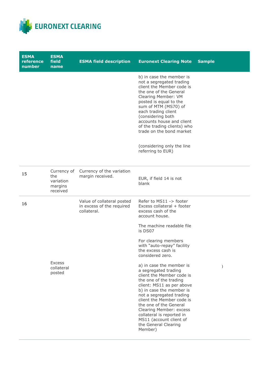

| <b>ESMA</b><br>reference<br>number | <b>ESMA</b><br>field<br>name                           | <b>ESMA field description</b>                                          | <b>Euronext Clearing Note</b>                                                                                                                                                                                                                                                                                                                                               | <b>Sample</b> |
|------------------------------------|--------------------------------------------------------|------------------------------------------------------------------------|-----------------------------------------------------------------------------------------------------------------------------------------------------------------------------------------------------------------------------------------------------------------------------------------------------------------------------------------------------------------------------|---------------|
|                                    |                                                        |                                                                        | b) in case the member is<br>not a segregated trading<br>client the Member code is<br>the one of the General<br>Clearing Member: VM<br>posted is equal to the<br>sum of MTM (MS70) of<br>each trading client<br>(considering both<br>accounts house and client<br>of the trading clients) who<br>trade on the bond market<br>(considering only the line<br>referring to EUR) |               |
| 15                                 | Currency of<br>the<br>variation<br>margins<br>received | Currency of the variation<br>margin received.                          | EUR, if field 14 is not<br>blank                                                                                                                                                                                                                                                                                                                                            |               |
| 16                                 |                                                        | Value of collateral posted<br>in excess of the required<br>collateral. | Refer to MS11 -> footer<br>Excess collateral + footer<br>excess cash of the<br>account house.<br>The machine readable file<br>is DS07                                                                                                                                                                                                                                       |               |
|                                    |                                                        |                                                                        | For clearing members<br>with "auto-repay" facility<br>the excess cash is<br>considered zero.                                                                                                                                                                                                                                                                                |               |
|                                    | <b>Excess</b><br>collateral<br>posted                  |                                                                        | a) in case the member is<br>a segregated trading<br>client the Member code is<br>the one of the trading<br>client: MS11 as per above<br>b) in case the member is<br>not a segregated trading<br>client the Member code is<br>the one of the General<br>Clearing Member: excess<br>collateral is reported in<br>MS11 (account client of<br>the General Clearing<br>Member)   |               |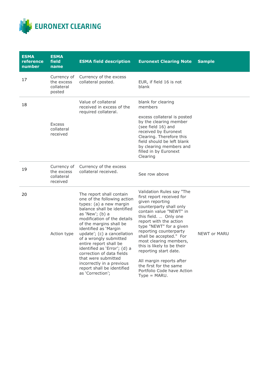

| <b>ESMA</b><br>reference<br>number | <b>ESMA</b><br>field<br>name                        | <b>ESMA field description</b>                                                                                                                                                                                                                                                                                                                                                                                                                                                 | <b>Euronext Clearing Note</b>                                                                                                                                                                                                                                                                                                                                                                                                                             | <b>Sample</b>       |
|------------------------------------|-----------------------------------------------------|-------------------------------------------------------------------------------------------------------------------------------------------------------------------------------------------------------------------------------------------------------------------------------------------------------------------------------------------------------------------------------------------------------------------------------------------------------------------------------|-----------------------------------------------------------------------------------------------------------------------------------------------------------------------------------------------------------------------------------------------------------------------------------------------------------------------------------------------------------------------------------------------------------------------------------------------------------|---------------------|
| 17                                 | Currency of<br>the excess<br>collateral<br>posted   | Currency of the excess<br>collateral posted.                                                                                                                                                                                                                                                                                                                                                                                                                                  | EUR, if field 16 is not<br>blank                                                                                                                                                                                                                                                                                                                                                                                                                          |                     |
| 18                                 | <b>Excess</b><br>collateral<br>received             | Value of collateral<br>received in excess of the<br>required collateral.                                                                                                                                                                                                                                                                                                                                                                                                      | blank for clearing<br>members<br>excess collateral is posted<br>by the clearing member<br>(see field 16) and<br>received by Euronext<br>Clearing. Therefore this<br>field should be left blank<br>by clearing members and<br>filled in by Euronext<br>Clearing                                                                                                                                                                                            |                     |
| 19                                 | Currency of<br>the excess<br>collateral<br>received | Currency of the excess<br>collateral received.                                                                                                                                                                                                                                                                                                                                                                                                                                | See row above                                                                                                                                                                                                                                                                                                                                                                                                                                             |                     |
| 20                                 | Action type                                         | The report shall contain<br>one of the following action<br>types: (a) a new margin<br>balance shall be identified<br>as 'New'; (b) a<br>modification of the details<br>of the margins shall be<br>identified as 'Margin<br>update'; (c) a cancellation<br>of a wrongly submitted<br>entire report shall be<br>identified as 'Error'; (d) a<br>correction of data fields<br>that were submitted<br>incorrectly in a previous<br>report shall be identified<br>as 'Correction'; | Validation Rules say "The<br>first report received for<br>given reporting<br>counterparty shall only<br>contain value "NEWT" in<br>this field.  Only one<br>report with the action<br>type "NEWT" for a given<br>reporting counterparty<br>shall be accepted." For<br>most clearing members,<br>this is likely to be their<br>reporting start date.<br>All margin reports after<br>the first for the same<br>Portfolio Code have Action<br>$Type = MARU.$ | <b>NEWT or MARU</b> |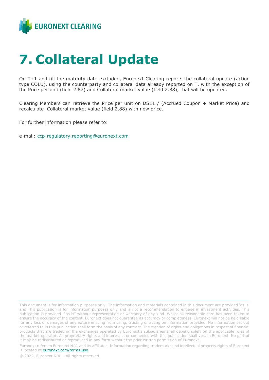

#### <span id="page-17-0"></span>**7. Collateral Update**

On T+1 and till the maturity date excluded, Euronext Clearing reports the collateral update (action type COLU), using the counterparty and collateral data already reported on T, with the exception of the Price per unit (field 2.87) and Collateral market value (field 2.88), that will be updated.

Clearing Members can retrieve the Price per unit on DS11 / (Accrued Coupon + Market Price) and recalculate Collateral market value (field 2.88) with new price.

For further information please refer to:

e-mail: [ccp-regulatory.reporting@euronext.com](mailto:ccp-regulatory.reporting@euronext.com)

Euronext refers to Euronext N.V. and its affiliates. Information regarding trademarks and intellectual property rights of Euronext is located at **euronext.com/terms-use**.

© 2022, Euronext N.V. - All rights reserved.

This document is for information purposes only. The information and materials contained in this document are provided 'as is' and This publication is for information purposes only and is not a recommendation to engage in investment activities. This publication is provided "as is" without representation or warranty of any kind. Whilst all reasonable care has been taken to ensure the accuracy of the content, Euronext does not guarantee its accuracy or completeness. Euronext will not be held liable for any loss or damages of any nature ensuing from using, trusting or acting on information provided. No information set out or referred to in this publication shall form the basis of any contract. The creation of rights and obligations in respect of financial products that are traded on the exchanges operated by Euronext's subsidiaries shall depend solely on the applicable rules of the market operator. All proprietary rights and interest in or connected with this publication shall vest in Euronext. No part of it may be redistributed or reproduced in any form without the prior written permission of Euronext.